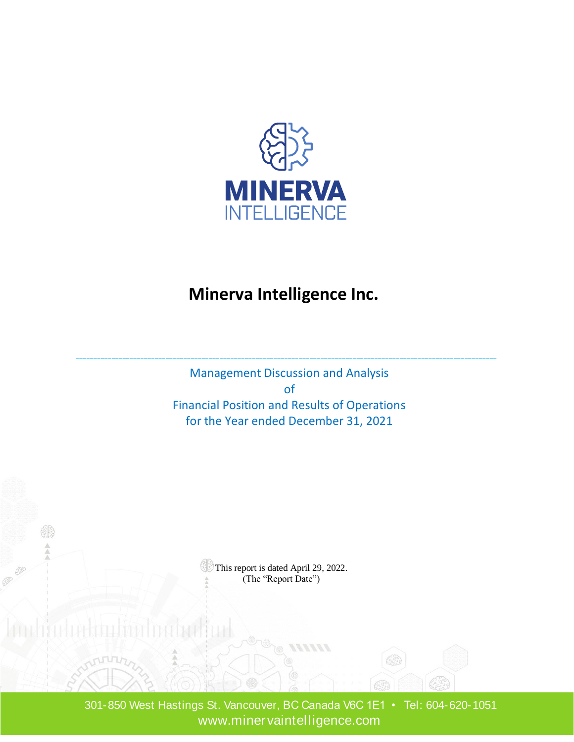

# **Minerva Intelligence Inc.**

Management Discussion and Analysis of Financial Position and Results of Operations for the Year ended December 31, 2021

 $\_$  , and the set of the set of the set of the set of the set of the set of the set of the set of the set of the set of the set of the set of the set of the set of the set of the set of the set of the set of the set of th

This report is dated April 29, 2022. (The "Report Date")  $\mathscr{A}F$ 

 301-850 West Hastings St. Vancouver, BC Canada V6C 1E1 • Tel: 604-620-1051 www.minervaintelligence.com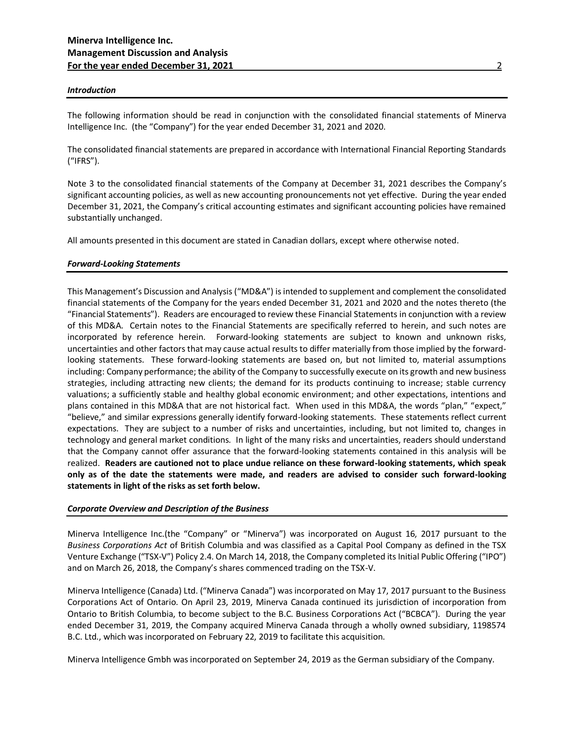#### *Introduction*

The following information should be read in conjunction with the consolidated financial statements of Minerva Intelligence Inc. (the "Company") for the year ended December 31, 2021 and 2020.

The consolidated financial statements are prepared in accordance with International Financial Reporting Standards ("IFRS").

Note 3 to the consolidated financial statements of the Company at December 31, 2021 describes the Company's significant accounting policies, as well as new accounting pronouncements not yet effective. During the year ended December 31, 2021, the Company's critical accounting estimates and significant accounting policies have remained substantially unchanged.

All amounts presented in this document are stated in Canadian dollars, except where otherwise noted.

#### *Forward-Looking Statements*

This Management's Discussion and Analysis ("MD&A") is intended to supplement and complement the consolidated financial statements of the Company for the years ended December 31, 2021 and 2020 and the notes thereto (the "Financial Statements"). Readers are encouraged to review these Financial Statements in conjunction with a review of this MD&A. Certain notes to the Financial Statements are specifically referred to herein, and such notes are incorporated by reference herein. Forward-looking statements are subject to known and unknown risks, uncertainties and other factors that may cause actual results to differ materially from those implied by the forwardlooking statements. These forward-looking statements are based on, but not limited to, material assumptions including: Company performance; the ability of the Company to successfully execute on its growth and new business strategies, including attracting new clients; the demand for its products continuing to increase; stable currency valuations; a sufficiently stable and healthy global economic environment; and other expectations, intentions and plans contained in this MD&A that are not historical fact. When used in this MD&A, the words "plan," "expect," "believe," and similar expressions generally identify forward-looking statements. These statements reflect current expectations. They are subject to a number of risks and uncertainties, including, but not limited to, changes in technology and general market conditions. In light of the many risks and uncertainties, readers should understand that the Company cannot offer assurance that the forward-looking statements contained in this analysis will be realized. **Readers are cautioned not to place undue reliance on these forward-looking statements, which speak only as of the date the statements were made, and readers are advised to consider such forward-looking statements in light of the risks as set forth below.**

#### *Corporate Overview and Description of the Business*

Minerva Intelligence Inc.(the "Company" or "Minerva") was incorporated on August 16, 2017 pursuant to the *Business Corporations Act* of British Columbia and was classified as a Capital Pool Company as defined in the TSX Venture Exchange ("TSX-V") Policy 2.4. On March 14, 2018, the Company completed its Initial Public Offering ("IPO") and on March 26, 2018, the Company's shares commenced trading on the TSX-V.

Minerva Intelligence (Canada) Ltd. ("Minerva Canada") was incorporated on May 17, 2017 pursuant to the Business Corporations Act of Ontario. On April 23, 2019, Minerva Canada continued its jurisdiction of incorporation from Ontario to British Columbia, to become subject to the B.C. Business Corporations Act ("BCBCA"). During the year ended December 31, 2019, the Company acquired Minerva Canada through a wholly owned subsidiary, 1198574 B.C. Ltd., which was incorporated on February 22, 2019 to facilitate this acquisition.

Minerva Intelligence Gmbh was incorporated on September 24, 2019 as the German subsidiary of the Company.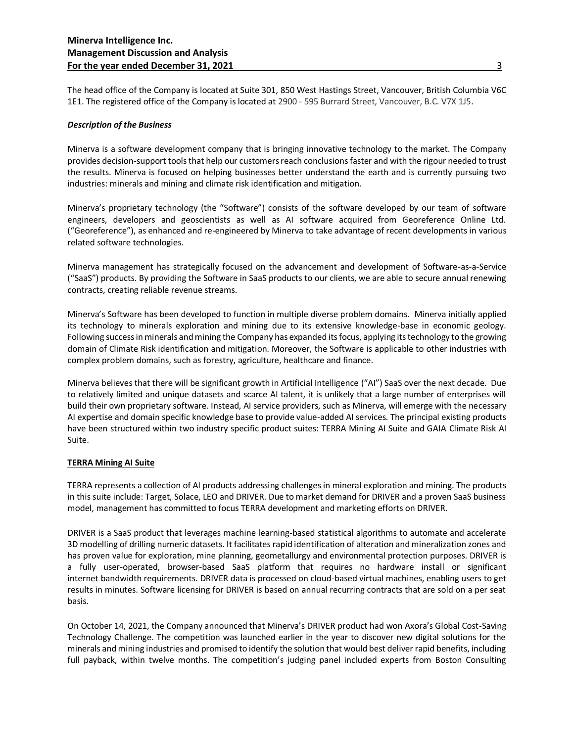The head office of the Company is located at Suite 301, 850 West Hastings Street, Vancouver, British Columbia V6C 1E1. The registered office of the Company is located at 2900 - 595 Burrard Street, Vancouver, B.C. V7X 1J5.

#### *Description of the Business*

Minerva is a software development company that is bringing innovative technology to the market. The Company provides decision-support tools that help our customers reach conclusions faster and with the rigour needed to trust the results. Minerva is focused on helping businesses better understand the earth and is currently pursuing two industries: minerals and mining and climate risk identification and mitigation.

Minerva's proprietary technology (the "Software") consists of the software developed by our team of software engineers, developers and geoscientists as well as AI software acquired from Georeference Online Ltd. ("Georeference"), as enhanced and re-engineered by Minerva to take advantage of recent developments in various related software technologies.

Minerva management has strategically focused on the advancement and development of Software-as-a-Service ("SaaS") products. By providing the Software in SaaS products to our clients, we are able to secure annual renewing contracts, creating reliable revenue streams.

Minerva's Software has been developed to function in multiple diverse problem domains. Minerva initially applied its technology to minerals exploration and mining due to its extensive knowledge-base in economic geology. Following success in minerals and mining the Company has expanded its focus, applying its technology to the growing domain of Climate Risk identification and mitigation. Moreover, the Software is applicable to other industries with complex problem domains, such as forestry, agriculture, healthcare and finance.

Minerva believes that there will be significant growth in Artificial Intelligence ("AI") SaaS over the next decade. Due to relatively limited and unique datasets and scarce AI talent, it is unlikely that a large number of enterprises will build their own proprietary software. Instead, AI service providers, such as Minerva, will emerge with the necessary AI expertise and domain specific knowledge base to provide value-added AI services. The principal existing products have been structured within two industry specific product suites: TERRA Mining AI Suite and GAIA Climate Risk AI Suite.

# **TERRA Mining AI Suite**

TERRA represents a collection of AI products addressing challenges in mineral exploration and mining. The products in this suite include: Target, Solace, LEO and DRIVER. Due to market demand for DRIVER and a proven SaaS business model, management has committed to focus TERRA development and marketing efforts on DRIVER.

DRIVER is a SaaS product that leverages machine learning-based statistical algorithms to automate and accelerate 3D modelling of drilling numeric datasets. It facilitates rapid identification of alteration and mineralization zones and has proven value for exploration, mine planning, geometallurgy and environmental protection purposes. DRIVER is a fully user-operated, browser-based SaaS platform that requires no hardware install or significant internet bandwidth requirements. DRIVER data is processed on cloud-based virtual machines, enabling users to get results in minutes. Software licensing for DRIVER is based on annual recurring contracts that are sold on a per seat basis.

On October 14, 2021, the Company announced that Minerva's DRIVER product had won Axora's Global Cost-Saving Technology Challenge. The competition was launched earlier in the year to discover new digital solutions for the minerals and mining industries and promised to identify the solution that would best deliver rapid benefits, including full payback, within twelve months. The competition's judging panel included experts from Boston Consulting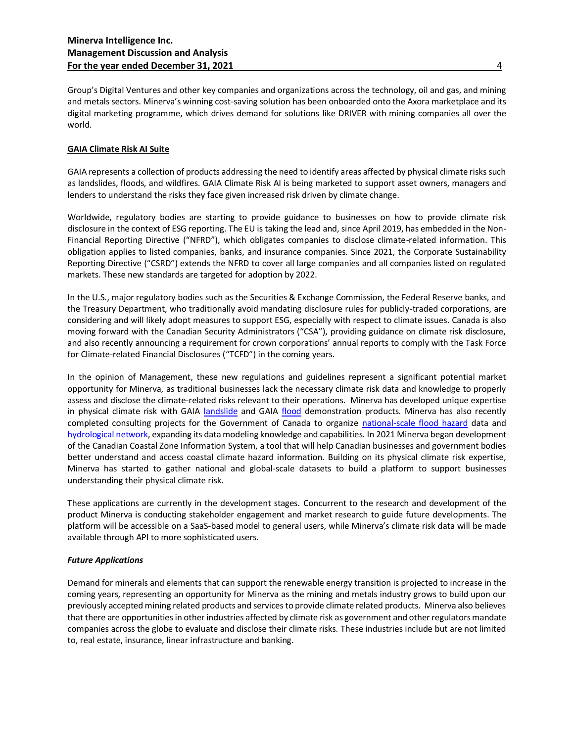Group's Digital Ventures and other key companies and organizations across the technology, oil and gas, and mining and metals sectors. Minerva's winning cost-saving solution has been onboarded onto the Axora marketplace and its digital marketing programme, which drives demand for solutions like DRIVER with mining companies all over the world.

# **GAIA Climate Risk AI Suite**

GAIA represents a collection of products addressing the need to identify areas affected by physical climate risks such as landslides, floods, and wildfires. GAIA Climate Risk AI is being marketed to support asset owners, managers and lenders to understand the risks they face given increased risk driven by climate change.

Worldwide, regulatory bodies are starting to provide guidance to businesses on how to provide climate risk disclosure in the context of ESG reporting. The EU is taking the lead and, since April 2019, has embedded in the Non-Financial Reporting Directive ("NFRD"), which obligates companies to disclose climate-related information. This obligation applies to listed companies, banks, and insurance companies. Since 2021, the Corporate Sustainability Reporting Directive ("CSRD") extends the NFRD to cover all large companies and all companies listed on regulated markets. These new standards are targeted for adoption by 2022.

In the U.S., major regulatory bodies such as the Securities & Exchange Commission, the Federal Reserve banks, and the Treasury Department, who traditionally avoid mandating disclosure rules for publicly-traded corporations, are considering and will likely adopt measures to support ESG, especially with respect to climate issues. Canada is also moving forward with the Canadian Security Administrators ("CSA"), providing guidance on climate risk disclosure, and also recently announcing a requirement for crown corporations' annual reports to comply with the Task Force for Climate-related Financial Disclosures ("TCFD") in the coming years.

In the opinion of Management, these new regulations and guidelines represent a significant potential market opportunity for Minerva, as traditional businesses lack the necessary climate risk data and knowledge to properly assess and disclose the climate-related risks relevant to their operations. Minerva has developed unique expertise in physical climate risk with GAIA [landslide](https://www.minervageohazards.com/) and GAIA [flood](https://minervaintelligence.com/gaia-flood/) demonstration products. Minerva has also recently completed consulting projects for the Government of Canada to organize [national-scale flood hazard](https://minervaintelligence.com/natural-resources-canada/) data and [hydrological network,](https://minervaintelligence.com/nrcan-may-2021/) expanding its data modeling knowledge and capabilities. In 2021 Minerva began development of the Canadian Coastal Zone Information System, a tool that will help Canadian businesses and government bodies better understand and access coastal climate hazard information. Building on its physical climate risk expertise, Minerva has started to gather national and global-scale datasets to build a platform to support businesses understanding their physical climate risk.

These applications are currently in the development stages. Concurrent to the research and development of the product Minerva is conducting stakeholder engagement and market research to guide future developments. The platform will be accessible on a SaaS-based model to general users, while Minerva's climate risk data will be made available through API to more sophisticated users.

#### *Future Applications*

Demand for minerals and elements that can support the renewable energy transition is projected to increase in the coming years, representing an opportunity for Minerva as the mining and metals industry grows to build upon our previously accepted mining related products and services to provide climate related products. Minerva also believes that there are opportunities in other industries affected by climate risk as government and other regulators mandate companies across the globe to evaluate and disclose their climate risks. These industries include but are not limited to, real estate, insurance, linear infrastructure and banking.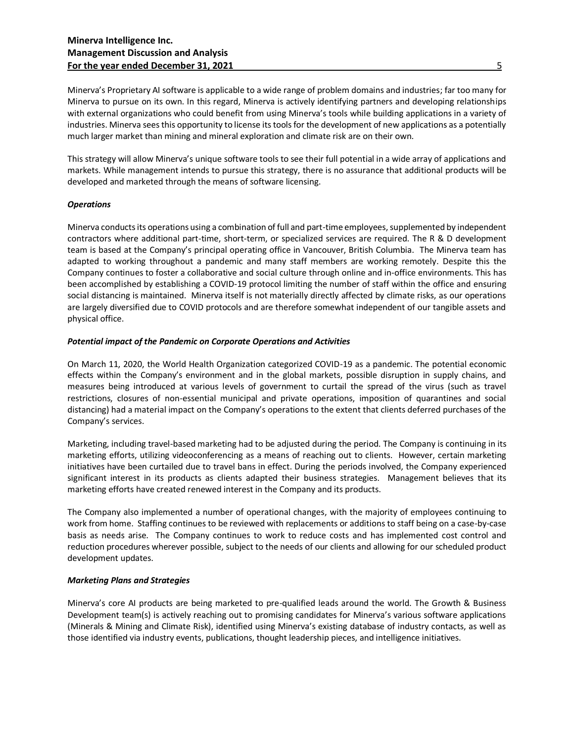Minerva's Proprietary AI software is applicable to a wide range of problem domains and industries; far too many for Minerva to pursue on its own. In this regard, Minerva is actively identifying partners and developing relationships with external organizations who could benefit from using Minerva's tools while building applications in a variety of industries. Minerva seesthis opportunity to license its tools for the development of new applications as a potentially much larger market than mining and mineral exploration and climate risk are on their own.

This strategy will allow Minerva's unique software tools to see their full potential in a wide array of applications and markets. While management intends to pursue this strategy, there is no assurance that additional products will be developed and marketed through the means of software licensing.

#### *Operations*

Minerva conducts its operations using a combination of full and part-time employees, supplemented by independent contractors where additional part-time, short-term, or specialized services are required. The R & D development team is based at the Company's principal operating office in Vancouver, British Columbia. The Minerva team has adapted to working throughout a pandemic and many staff members are working remotely. Despite this the Company continues to foster a collaborative and social culture through online and in-office environments. This has been accomplished by establishing a COVID-19 protocol limiting the number of staff within the office and ensuring social distancing is maintained. Minerva itself is not materially directly affected by climate risks, as our operations are largely diversified due to COVID protocols and are therefore somewhat independent of our tangible assets and physical office.

#### *Potential impact of the Pandemic on Corporate Operations and Activities*

On March 11, 2020, the World Health Organization categorized COVID-19 as a pandemic. The potential economic effects within the Company's environment and in the global markets, possible disruption in supply chains, and measures being introduced at various levels of government to curtail the spread of the virus (such as travel restrictions, closures of non-essential municipal and private operations, imposition of quarantines and social distancing) had a material impact on the Company's operations to the extent that clients deferred purchases of the Company's services.

Marketing, including travel-based marketing had to be adjusted during the period. The Company is continuing in its marketing efforts, utilizing videoconferencing as a means of reaching out to clients. However, certain marketing initiatives have been curtailed due to travel bans in effect. During the periods involved, the Company experienced significant interest in its products as clients adapted their business strategies. Management believes that its marketing efforts have created renewed interest in the Company and its products.

The Company also implemented a number of operational changes, with the majority of employees continuing to work from home. Staffing continues to be reviewed with replacements or additions to staff being on a case-by-case basis as needs arise. The Company continues to work to reduce costs and has implemented cost control and reduction procedures wherever possible, subject to the needs of our clients and allowing for our scheduled product development updates.

# *Marketing Plans and Strategies*

Minerva's core AI products are being marketed to pre-qualified leads around the world. The Growth & Business Development team(s) is actively reaching out to promising candidates for Minerva's various software applications (Minerals & Mining and Climate Risk), identified using Minerva's existing database of industry contacts, as well as those identified via industry events, publications, thought leadership pieces, and intelligence initiatives.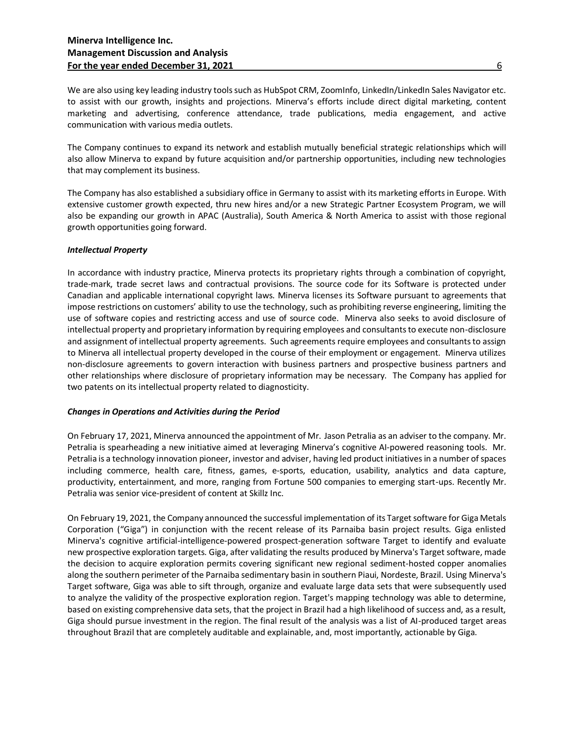We are also using key leading industry tools such as HubSpot CRM, ZoomInfo, LinkedIn/LinkedIn Sales Navigator etc. to assist with our growth, insights and projections. Minerva's efforts include direct digital marketing, content marketing and advertising, conference attendance, trade publications, media engagement, and active communication with various media outlets.

The Company continues to expand its network and establish mutually beneficial strategic relationships which will also allow Minerva to expand by future acquisition and/or partnership opportunities, including new technologies that may complement its business.

The Company has also established a subsidiary office in Germany to assist with its marketing efforts in Europe. With extensive customer growth expected, thru new hires and/or a new Strategic Partner Ecosystem Program, we will also be expanding our growth in APAC (Australia), South America & North America to assist with those regional growth opportunities going forward.

# *Intellectual Property*

In accordance with industry practice, Minerva protects its proprietary rights through a combination of copyright, trade-mark, trade secret laws and contractual provisions. The source code for its Software is protected under Canadian and applicable international copyright laws. Minerva licenses its Software pursuant to agreements that impose restrictions on customers' ability to use the technology, such as prohibiting reverse engineering, limiting the use of software copies and restricting access and use of source code. Minerva also seeks to avoid disclosure of intellectual property and proprietary information by requiring employees and consultants to execute non-disclosure and assignment of intellectual property agreements. Such agreements require employees and consultants to assign to Minerva all intellectual property developed in the course of their employment or engagement. Minerva utilizes non-disclosure agreements to govern interaction with business partners and prospective business partners and other relationships where disclosure of proprietary information may be necessary. The Company has applied for two patents on its intellectual property related to diagnosticity.

#### *Changes in Operations and Activities during the Period*

On February 17, 2021, Minerva announced the appointment of Mr. Jason Petralia as an adviser to the company. Mr. Petralia is spearheading a new initiative aimed at leveraging Minerva's cognitive AI-powered reasoning tools. Mr. Petralia is a technology innovation pioneer, investor and adviser, having led product initiatives in a number of spaces including commerce, health care, fitness, games, e-sports, education, usability, analytics and data capture, productivity, entertainment, and more, ranging from Fortune 500 companies to emerging start-ups. Recently Mr. Petralia was senior vice-president of content at Skillz Inc.

On February 19, 2021, the Company announced the successful implementation of its Target software for Giga Metals Corporation ("Giga") in conjunction with the recent release of its Parnaiba basin project results. Giga enlisted Minerva's cognitive artificial-intelligence-powered prospect-generation software Target to identify and evaluate new prospective exploration targets. Giga, after validating the results produced by Minerva's Target software, made the decision to acquire exploration permits covering significant new regional sediment-hosted copper anomalies along the southern perimeter of the Parnaiba sedimentary basin in southern Piaui, Nordeste, Brazil. Using Minerva's Target software, Giga was able to sift through, organize and evaluate large data sets that were subsequently used to analyze the validity of the prospective exploration region. Target's mapping technology was able to determine, based on existing comprehensive data sets, that the project in Brazil had a high likelihood of success and, as a result, Giga should pursue investment in the region. The final result of the analysis was a list of AI-produced target areas throughout Brazil that are completely auditable and explainable, and, most importantly, actionable by Giga.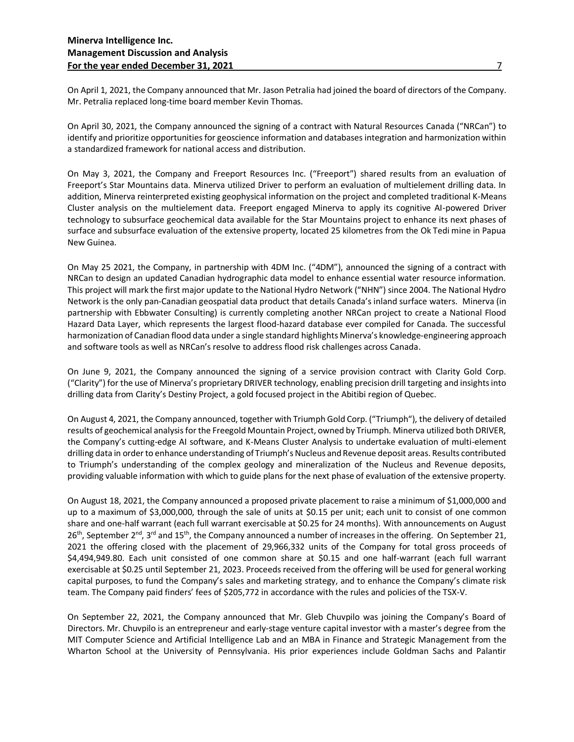On April 1, 2021, the Company announced that Mr. Jason Petralia had joined the board of directors of the Company. Mr. Petralia replaced long-time board member Kevin Thomas.

On April 30, 2021, the Company announced the signing of a contract with Natural Resources Canada ("NRCan") to identify and prioritize opportunities for geoscience information and databases integration and harmonization within a standardized framework for national access and distribution.

On May 3, 2021, the Company and Freeport Resources Inc. ("Freeport") shared results from an evaluation of Freeport's Star Mountains data. Minerva utilized Driver to perform an evaluation of multielement drilling data. In addition, Minerva reinterpreted existing geophysical information on the project and completed traditional K-Means Cluster analysis on the multielement data. Freeport engaged Minerva to apply its cognitive AI-powered Driver technology to subsurface geochemical data available for the Star Mountains project to enhance its next phases of surface and subsurface evaluation of the extensive property, located 25 kilometres from the Ok Tedi mine in Papua New Guinea.

On May 25 2021, the Company, in partnership with 4DM Inc. ("4DM"), announced the signing of a contract with NRCan to design an updated Canadian hydrographic data model to enhance essential water resource information. This project will mark the first major update to the National Hydro Network ("NHN") since 2004. The National Hydro Network is the only pan‐Canadian geospatial data product that details Canada's inland surface waters. Minerva (in partnership with Ebbwater Consulting) is currently completing another NRCan project to create a National Flood Hazard Data Layer, which represents the largest flood‐hazard database ever compiled for Canada. The successful harmonization of Canadian flood data under a single standard highlights Minerva's knowledge-engineering approach and software tools as well as NRCan's resolve to address flood risk challenges across Canada.

On June 9, 2021, the Company announced the signing of a service provision contract with Clarity Gold Corp. ("Clarity") for the use of Minerva's proprietary DRIVER technology, enabling precision drill targeting and insights into drilling data from Clarity's Destiny Project, a gold focused project in the Abitibi region of Quebec.

On August 4, 2021, the Company announced, together with Triumph Gold Corp. ("Triumph"), the delivery of detailed results of geochemical analysis for the Freegold Mountain Project, owned by Triumph. Minerva utilized both DRIVER, the Company's cutting-edge AI software, and K-Means Cluster Analysis to undertake evaluation of multi-element drilling data in order to enhance understanding of Triumph's Nucleus and Revenue deposit areas. Results contributed to Triumph's understanding of the complex geology and mineralization of the Nucleus and Revenue deposits, providing valuable information with which to guide plans for the next phase of evaluation of the extensive property.

On August 18, 2021, the Company announced a proposed private placement to raise a minimum of \$1,000,000 and up to a maximum of \$3,000,000, through the sale of units at \$0.15 per unit; each unit to consist of one common share and one-half warrant (each full warrant exercisable at \$0.25 for 24 months). With announcements on August 26<sup>th</sup>, September 2<sup>nd</sup>, 3<sup>rd</sup> and 15<sup>th</sup>, the Company announced a number of increases in the offering. On September 21, 2021 the offering closed with the placement of 29,966,332 units of the Company for total gross proceeds of \$4,494,949.80. Each unit consisted of one common share at \$0.15 and one half-warrant (each full warrant exercisable at \$0.25 until September 21, 2023. Proceeds received from the offering will be used for general working capital purposes, to fund the Company's sales and marketing strategy, and to enhance the Company's climate risk team. The Company paid finders' fees of \$205,772 in accordance with the rules and policies of the TSX-V.

On September 22, 2021, the Company announced that Mr. Gleb Chuvpilo was joining the Company's Board of Directors. Mr. Chuvpilo is an entrepreneur and early‐stage venture capital investor with a master's degree from the MIT Computer Science and Artificial Intelligence Lab and an MBA in Finance and Strategic Management from the Wharton School at the University of Pennsylvania. His prior experiences include Goldman Sachs and Palantir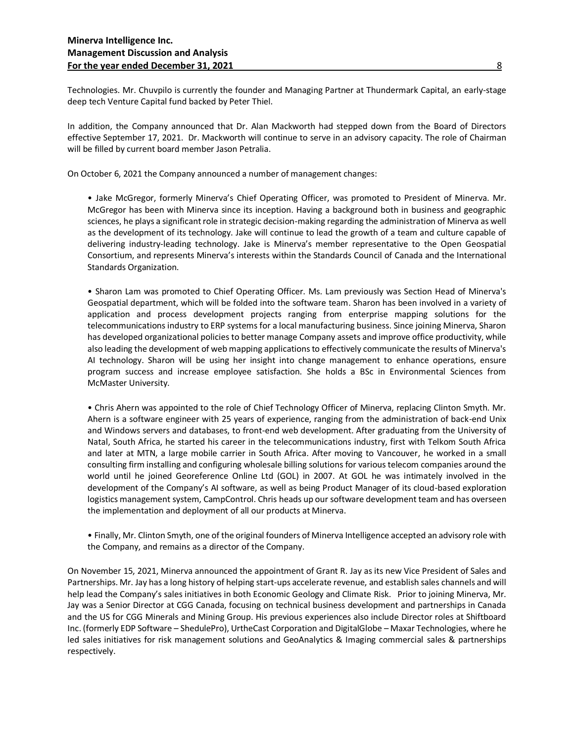Technologies. Mr. Chuvpilo is currently the founder and Managing Partner at Thundermark Capital, an early‐stage deep tech Venture Capital fund backed by Peter Thiel.

In addition, the Company announced that Dr. Alan Mackworth had stepped down from the Board of Directors effective September 17, 2021. Dr. Mackworth will continue to serve in an advisory capacity. The role of Chairman will be filled by current board member Jason Petralia.

On October 6, 2021 the Company announced a number of management changes:

• Jake McGregor, formerly Minerva's Chief Operating Officer, was promoted to President of Minerva. Mr. McGregor has been with Minerva since its inception. Having a background both in business and geographic sciences, he plays a significant role in strategic decision-making regarding the administration of Minerva as well as the development of its technology. Jake will continue to lead the growth of a team and culture capable of delivering industry-leading technology. Jake is Minerva's member representative to the Open Geospatial Consortium, and represents Minerva's interests within the Standards Council of Canada and the International Standards Organization.

• Sharon Lam was promoted to Chief Operating Officer. Ms. Lam previously was Section Head of Minerva's Geospatial department, which will be folded into the software team. Sharon has been involved in a variety of application and process development projects ranging from enterprise mapping solutions for the telecommunications industry to ERP systems for a local manufacturing business. Since joining Minerva, Sharon has developed organizational policies to better manage Company assets and improve office productivity, while also leading the development of web mapping applications to effectively communicate the results of Minerva's AI technology. Sharon will be using her insight into change management to enhance operations, ensure program success and increase employee satisfaction. She holds a BSc in Environmental Sciences from McMaster University.

• Chris Ahern was appointed to the role of Chief Technology Officer of Minerva, replacing Clinton Smyth. Mr. Ahern is a software engineer with 25 years of experience, ranging from the administration of back-end Unix and Windows servers and databases, to front-end web development. After graduating from the University of Natal, South Africa, he started his career in the telecommunications industry, first with Telkom South Africa and later at MTN, a large mobile carrier in South Africa. After moving to Vancouver, he worked in a small consulting firm installing and configuring wholesale billing solutions for various telecom companies around the world until he joined Georeference Online Ltd (GOL) in 2007. At GOL he was intimately involved in the development of the Company's AI software, as well as being Product Manager of its cloud-based exploration logistics management system, CampControl. Chris heads up our software development team and has overseen the implementation and deployment of all our products at Minerva.

• Finally, Mr. Clinton Smyth, one of the original founders of Minerva Intelligence accepted an advisory role with the Company, and remains as a director of the Company.

On November 15, 2021, Minerva announced the appointment of Grant R. Jay as its new Vice President of Sales and Partnerships. Mr. Jay has a long history of helping start-ups accelerate revenue, and establish sales channels and will help lead the Company's sales initiatives in both Economic Geology and Climate Risk. Prior to joining Minerva, Mr. Jay was a Senior Director at CGG Canada, focusing on technical business development and partnerships in Canada and the US for CGG Minerals and Mining Group. His previous experiences also include Director roles at Shiftboard Inc. (formerly EDP Software – ShedulePro), UrtheCast Corporation and DigitalGlobe – Maxar Technologies, where he led sales initiatives for risk management solutions and GeoAnalytics & Imaging commercial sales & partnerships respectively.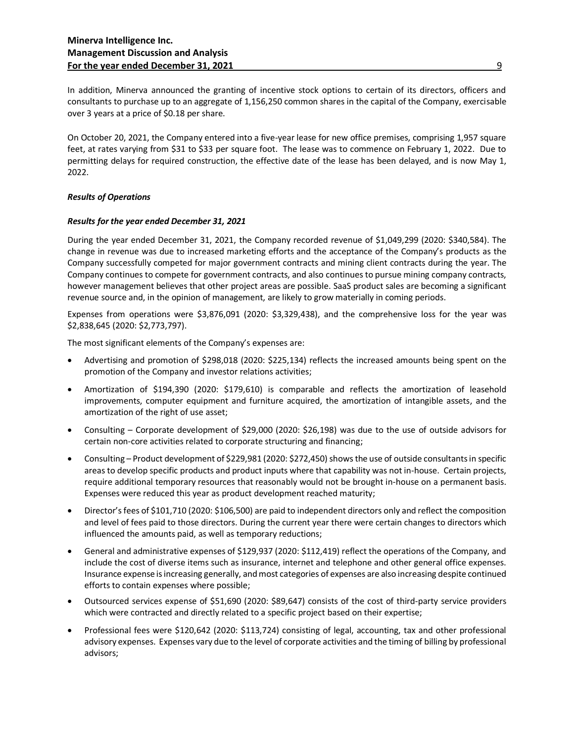In addition, Minerva announced the granting of incentive stock options to certain of its directors, officers and consultants to purchase up to an aggregate of 1,156,250 common shares in the capital of the Company, exercisable over 3 years at a price of \$0.18 per share.

On October 20, 2021, the Company entered into a five-year lease for new office premises, comprising 1,957 square feet, at rates varying from \$31 to \$33 per square foot. The lease was to commence on February 1, 2022. Due to permitting delays for required construction, the effective date of the lease has been delayed, and is now May 1, 2022.

# *Results of Operations*

# *Results for the year ended December 31, 2021*

During the year ended December 31, 2021, the Company recorded revenue of \$1,049,299 (2020: \$340,584). The change in revenue was due to increased marketing efforts and the acceptance of the Company's products as the Company successfully competed for major government contracts and mining client contracts during the year. The Company continues to compete for government contracts, and also continues to pursue mining company contracts, however management believes that other project areas are possible. SaaS product sales are becoming a significant revenue source and, in the opinion of management, are likely to grow materially in coming periods.

Expenses from operations were \$3,876,091 (2020: \$3,329,438), and the comprehensive loss for the year was \$2,838,645 (2020: \$2,773,797).

The most significant elements of the Company's expenses are:

- Advertising and promotion of \$298,018 (2020: \$225,134) reflects the increased amounts being spent on the promotion of the Company and investor relations activities;
- Amortization of \$194,390 (2020: \$179,610) is comparable and reflects the amortization of leasehold improvements, computer equipment and furniture acquired, the amortization of intangible assets, and the amortization of the right of use asset;
- Consulting Corporate development of \$29,000 (2020: \$26,198) was due to the use of outside advisors for certain non-core activities related to corporate structuring and financing;
- Consulting Product development of \$229,981 (2020: \$272,450) shows the use of outside consultants in specific areas to develop specific products and product inputs where that capability was not in-house. Certain projects, require additional temporary resources that reasonably would not be brought in-house on a permanent basis. Expenses were reduced this year as product development reached maturity;
- Director'sfees of \$101,710 (2020: \$106,500) are paid to independent directors only and reflect the composition and level of fees paid to those directors. During the current year there were certain changes to directors which influenced the amounts paid, as well as temporary reductions;
- General and administrative expenses of \$129,937 (2020: \$112,419) reflect the operations of the Company, and include the cost of diverse items such as insurance, internet and telephone and other general office expenses. Insurance expense is increasing generally, and most categories of expenses are also increasing despite continued efforts to contain expenses where possible;
- Outsourced services expense of \$51,690 (2020: \$89,647) consists of the cost of third-party service providers which were contracted and directly related to a specific project based on their expertise;
- Professional fees were \$120,642 (2020: \$113,724) consisting of legal, accounting, tax and other professional advisory expenses. Expenses vary due to the level of corporate activities and the timing of billing by professional advisors;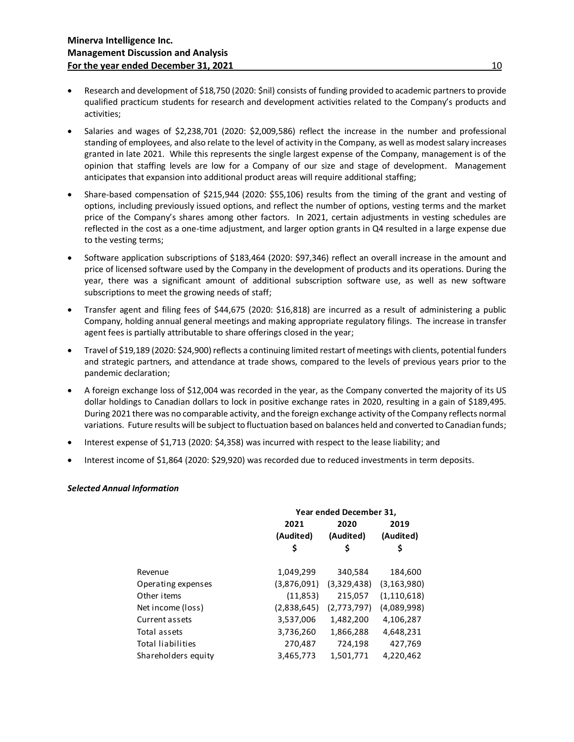- Research and development of \$18,750 (2020: \$nil) consists of funding provided to academic partners to provide qualified practicum students for research and development activities related to the Company's products and activities;
- Salaries and wages of \$2,238,701 (2020: \$2,009,586) reflect the increase in the number and professional standing of employees, and also relate to the level of activity in the Company, as well as modest salary increases granted in late 2021. While this represents the single largest expense of the Company, management is of the opinion that staffing levels are low for a Company of our size and stage of development. Management anticipates that expansion into additional product areas will require additional staffing;
- Share-based compensation of \$215,944 (2020: \$55,106) results from the timing of the grant and vesting of options, including previously issued options, and reflect the number of options, vesting terms and the market price of the Company's shares among other factors. In 2021, certain adjustments in vesting schedules are reflected in the cost as a one-time adjustment, and larger option grants in Q4 resulted in a large expense due to the vesting terms;
- Software application subscriptions of \$183,464 (2020: \$97,346) reflect an overall increase in the amount and price of licensed software used by the Company in the development of products and its operations. During the year, there was a significant amount of additional subscription software use, as well as new software subscriptions to meet the growing needs of staff;
- Transfer agent and filing fees of \$44,675 (2020: \$16,818) are incurred as a result of administering a public Company, holding annual general meetings and making appropriate regulatory filings. The increase in transfer agent fees is partially attributable to share offerings closed in the year;
- Travel of \$19,189 (2020: \$24,900) reflects a continuing limited restart of meetings with clients, potential funders and strategic partners, and attendance at trade shows, compared to the levels of previous years prior to the pandemic declaration;
- A foreign exchange loss of \$12,004 was recorded in the year, as the Company converted the majority of its US dollar holdings to Canadian dollars to lock in positive exchange rates in 2020, resulting in a gain of \$189,495. During 2021 there was no comparable activity, and the foreign exchange activity of the Company reflects normal variations. Future results will be subject to fluctuation based on balances held and converted to Canadian funds;
- Interest expense of \$1,713 (2020: \$4,358) was incurred with respect to the lease liability; and
- Interest income of \$1,864 (2020: \$29,920) was recorded due to reduced investments in term deposits.

#### *Selected Annual Information*

|                          | Year ended December 31, |             |               |  |
|--------------------------|-------------------------|-------------|---------------|--|
|                          | 2021                    | 2020        | 2019          |  |
|                          | (Audited)               | (Audited)   | (Audited)     |  |
|                          | \$                      | \$          | \$            |  |
| Revenue                  | 1,049,299               | 340,584     | 184,600       |  |
| Operating expenses       | (3,876,091)             | (3,329,438) | (3, 163, 980) |  |
| Other items              | (11, 853)               | 215,057     | (1, 110, 618) |  |
| Net income (loss)        | (2,838,645)             | (2,773,797) | (4,089,998)   |  |
| Current assets           | 3,537,006               | 1,482,200   | 4,106,287     |  |
| Total assets             | 3,736,260               | 1,866,288   | 4,648,231     |  |
| <b>Total liabilities</b> | 270,487                 | 724,198     | 427,769       |  |
| Shareholders equity      | 3,465,773               | 1,501,771   | 4,220,462     |  |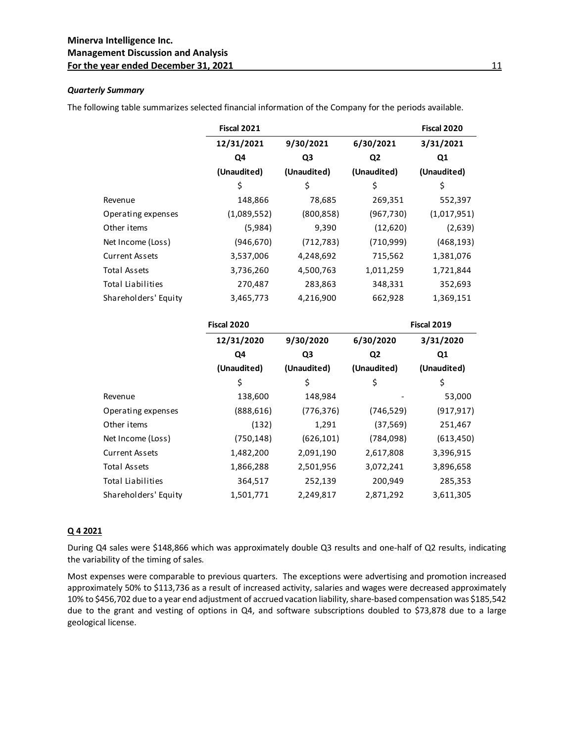# *Quarterly Summary*

The following table summarizes selected financial information of the Company for the periods available.

|                          | <b>Fiscal 2021</b> |             |                | <b>Fiscal 2020</b> |
|--------------------------|--------------------|-------------|----------------|--------------------|
|                          | 12/31/2021         | 9/30/2021   | 6/30/2021      | 3/31/2021          |
|                          | Q4                 | Q3          | Q <sub>2</sub> | Q1                 |
|                          | (Unaudited)        | (Unaudited) | (Unaudited)    | (Unaudited)        |
|                          | \$                 | \$          | \$             | \$                 |
| Revenue                  | 148,866            | 78,685      | 269,351        | 552,397            |
| Operating expenses       | (1,089,552)        | (800, 858)  | (967, 730)     | (1,017,951)        |
| Other items              | (5,984)            | 9,390       | (12,620)       | (2,639)            |
| Net Income (Loss)        | (946, 670)         | (712, 783)  | (710,999)      | (468, 193)         |
| <b>Current Assets</b>    | 3,537,006          | 4,248,692   | 715,562        | 1,381,076          |
| <b>Total Assets</b>      | 3,736,260          | 4,500,763   | 1,011,259      | 1,721,844          |
| <b>Total Liabilities</b> | 270,487            | 283,863     | 348,331        | 352,693            |
| Shareholders' Equity     | 3,465,773          | 4,216,900   | 662,928        | 1,369,151          |

|                          | Fiscal 2020 |             |                | <b>Fiscal 2019</b> |
|--------------------------|-------------|-------------|----------------|--------------------|
|                          | 12/31/2020  | 9/30/2020   | 6/30/2020      | 3/31/2020          |
|                          | Q4          | Q3          | Q <sub>2</sub> | Q <sub>1</sub>     |
|                          | (Unaudited) | (Unaudited) | (Unaudited)    | (Unaudited)        |
|                          | \$          | \$          | \$             | \$                 |
| Revenue                  | 138,600     | 148,984     |                | 53,000             |
| Operating expenses       | (888, 616)  | (776, 376)  | (746, 529)     | (917, 917)         |
| Other items              | (132)       | 1,291       | (37, 569)      | 251,467            |
| Net Income (Loss)        | (750, 148)  | (626, 101)  | (784,098)      | (613, 450)         |
| <b>Current Assets</b>    | 1,482,200   | 2,091,190   | 2,617,808      | 3,396,915          |
| <b>Total Assets</b>      | 1,866,288   | 2,501,956   | 3,072,241      | 3,896,658          |
| <b>Total Liabilities</b> | 364,517     | 252,139     | 200,949        | 285,353            |
| Shareholders' Equity     | 1,501,771   | 2,249,817   | 2,871,292      | 3,611,305          |

# **Q 4 2021**

During Q4 sales were \$148,866 which was approximately double Q3 results and one-half of Q2 results, indicating the variability of the timing of sales.

Most expenses were comparable to previous quarters. The exceptions were advertising and promotion increased approximately 50% to \$113,736 as a result of increased activity, salaries and wages were decreased approximately 10% to \$456,702 due to a year end adjustment of accrued vacation liability, share-based compensation was \$185,542 due to the grant and vesting of options in Q4, and software subscriptions doubled to \$73,878 due to a large geological license.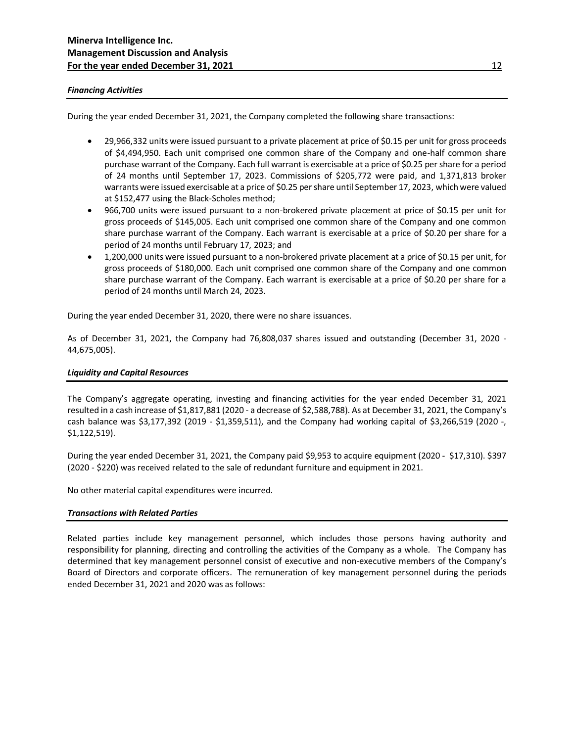#### *Financing Activities*

During the year ended December 31, 2021, the Company completed the following share transactions:

- 29,966,332 units were issued pursuant to a private placement at price of \$0.15 per unit for gross proceeds of \$4,494,950. Each unit comprised one common share of the Company and one-half common share purchase warrant of the Company. Each full warrant is exercisable at a price of \$0.25 per share for a period of 24 months until September 17, 2023. Commissions of \$205,772 were paid, and 1,371,813 broker warrants were issued exercisable at a price of \$0.25 per share until September 17, 2023, which were valued at \$152,477 using the Black-Scholes method;
- 966,700 units were issued pursuant to a non-brokered private placement at price of \$0.15 per unit for gross proceeds of \$145,005. Each unit comprised one common share of the Company and one common share purchase warrant of the Company. Each warrant is exercisable at a price of \$0.20 per share for a period of 24 months until February 17, 2023; and
- 1,200,000 units were issued pursuant to a non-brokered private placement at a price of \$0.15 per unit, for gross proceeds of \$180,000. Each unit comprised one common share of the Company and one common share purchase warrant of the Company. Each warrant is exercisable at a price of \$0.20 per share for a period of 24 months until March 24, 2023.

During the year ended December 31, 2020, there were no share issuances.

As of December 31, 2021, the Company had 76,808,037 shares issued and outstanding (December 31, 2020 - 44,675,005).

#### *Liquidity and Capital Resources*

The Company's aggregate operating, investing and financing activities for the year ended December 31, 2021 resulted in a cash increase of \$1,817,881 (2020 - a decrease of \$2,588,788). As at December 31, 2021, the Company's cash balance was \$3,177,392 (2019 - \$1,359,511), and the Company had working capital of \$3,266,519 (2020 -, \$1,122,519).

During the year ended December 31, 2021, the Company paid \$9,953 to acquire equipment (2020 - \$17,310). \$397 (2020 - \$220) was received related to the sale of redundant furniture and equipment in 2021.

No other material capital expenditures were incurred.

#### *Transactions with Related Parties*

Related parties include key management personnel, which includes those persons having authority and responsibility for planning, directing and controlling the activities of the Company as a whole. The Company has determined that key management personnel consist of executive and non-executive members of the Company's Board of Directors and corporate officers. The remuneration of key management personnel during the periods ended December 31, 2021 and 2020 was as follows: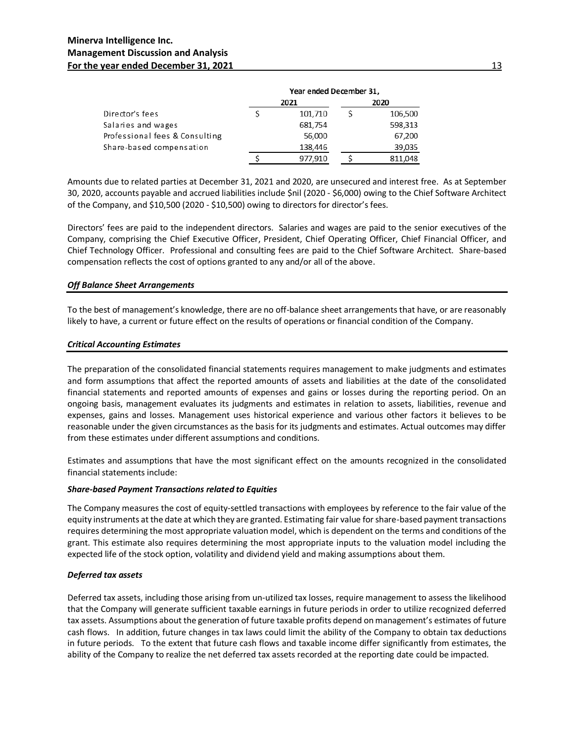|                                | Year ended December 31, |         |  |         |
|--------------------------------|-------------------------|---------|--|---------|
|                                |                         | 2021    |  | 2020    |
| Director's fees                |                         | 101,710 |  | 106,500 |
| Salaries and wages             |                         | 681,754 |  | 598,313 |
| Professional fees & Consulting |                         | 56,000  |  | 67,200  |
| Share-based compensation       |                         | 138,446 |  | 39,035  |
|                                |                         | 977,910 |  | 811,048 |

Amounts due to related parties at December 31, 2021 and 2020, are unsecured and interest free. As at September 30, 2020, accounts payable and accrued liabilities include \$nil (2020 - \$6,000) owing to the Chief Software Architect of the Company, and \$10,500 (2020 - \$10,500) owing to directors for director's fees.

Directors' fees are paid to the independent directors. Salaries and wages are paid to the senior executives of the Company, comprising the Chief Executive Officer, President, Chief Operating Officer, Chief Financial Officer, and Chief Technology Officer. Professional and consulting fees are paid to the Chief Software Architect. Share-based compensation reflects the cost of options granted to any and/or all of the above.

#### *Off Balance Sheet Arrangements*

To the best of management's knowledge, there are no off-balance sheet arrangements that have, or are reasonably likely to have, a current or future effect on the results of operations or financial condition of the Company.

# *Critical Accounting Estimates*

The preparation of the consolidated financial statements requires management to make judgments and estimates and form assumptions that affect the reported amounts of assets and liabilities at the date of the consolidated financial statements and reported amounts of expenses and gains or losses during the reporting period. On an ongoing basis, management evaluates its judgments and estimates in relation to assets, liabilities, revenue and expenses, gains and losses. Management uses historical experience and various other factors it believes to be reasonable under the given circumstances as the basis for its judgments and estimates. Actual outcomes may differ from these estimates under different assumptions and conditions.

Estimates and assumptions that have the most significant effect on the amounts recognized in the consolidated financial statements include:

#### *Share-based Payment Transactions related to Equities*

The Company measures the cost of equity-settled transactions with employees by reference to the fair value of the equity instruments at the date at which they are granted. Estimating fair value for share-based payment transactions requires determining the most appropriate valuation model, which is dependent on the terms and conditions of the grant. This estimate also requires determining the most appropriate inputs to the valuation model including the expected life of the stock option, volatility and dividend yield and making assumptions about them.

#### *Deferred tax assets*

Deferred tax assets, including those arising from un-utilized tax losses, require management to assess the likelihood that the Company will generate sufficient taxable earnings in future periods in order to utilize recognized deferred tax assets. Assumptions about the generation of future taxable profits depend on management's estimates of future cash flows. In addition, future changes in tax laws could limit the ability of the Company to obtain tax deductions in future periods. To the extent that future cash flows and taxable income differ significantly from estimates, the ability of the Company to realize the net deferred tax assets recorded at the reporting date could be impacted.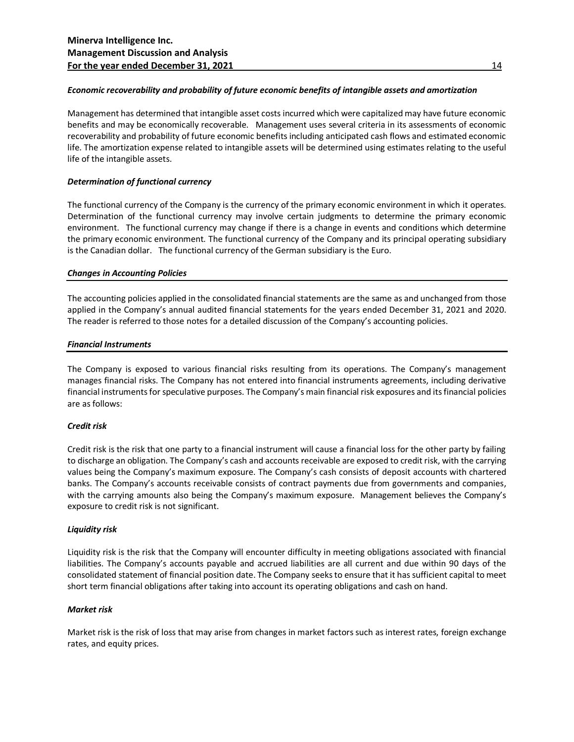#### *Economic recoverability and probability of future economic benefits of intangible assets and amortization*

Management has determined that intangible asset costs incurred which were capitalized may have future economic benefits and may be economically recoverable. Management uses several criteria in its assessments of economic recoverability and probability of future economic benefits including anticipated cash flows and estimated economic life. The amortization expense related to intangible assets will be determined using estimates relating to the useful life of the intangible assets.

#### *Determination of functional currency*

The functional currency of the Company is the currency of the primary economic environment in which it operates. Determination of the functional currency may involve certain judgments to determine the primary economic environment. The functional currency may change if there is a change in events and conditions which determine the primary economic environment. The functional currency of the Company and its principal operating subsidiary is the Canadian dollar. The functional currency of the German subsidiary is the Euro.

# *Changes in Accounting Policies*

The accounting policies applied in the consolidated financial statements are the same as and unchanged from those applied in the Company's annual audited financial statements for the years ended December 31, 2021 and 2020. The reader is referred to those notes for a detailed discussion of the Company's accounting policies.

#### *Financial Instruments*

The Company is exposed to various financial risks resulting from its operations. The Company's management manages financial risks. The Company has not entered into financial instruments agreements, including derivative financial instruments for speculative purposes. The Company's main financial risk exposures and its financial policies are as follows:

#### *Credit risk*

Credit risk is the risk that one party to a financial instrument will cause a financial loss for the other party by failing to discharge an obligation. The Company's cash and accounts receivable are exposed to credit risk, with the carrying values being the Company's maximum exposure. The Company's cash consists of deposit accounts with chartered banks. The Company's accounts receivable consists of contract payments due from governments and companies, with the carrying amounts also being the Company's maximum exposure. Management believes the Company's exposure to credit risk is not significant.

#### *Liquidity risk*

Liquidity risk is the risk that the Company will encounter difficulty in meeting obligations associated with financial liabilities. The Company's accounts payable and accrued liabilities are all current and due within 90 days of the consolidated statement of financial position date. The Company seeks to ensure that it has sufficient capital to meet short term financial obligations after taking into account its operating obligations and cash on hand.

#### *Market risk*

Market risk is the risk of loss that may arise from changes in market factors such as interest rates, foreign exchange rates, and equity prices.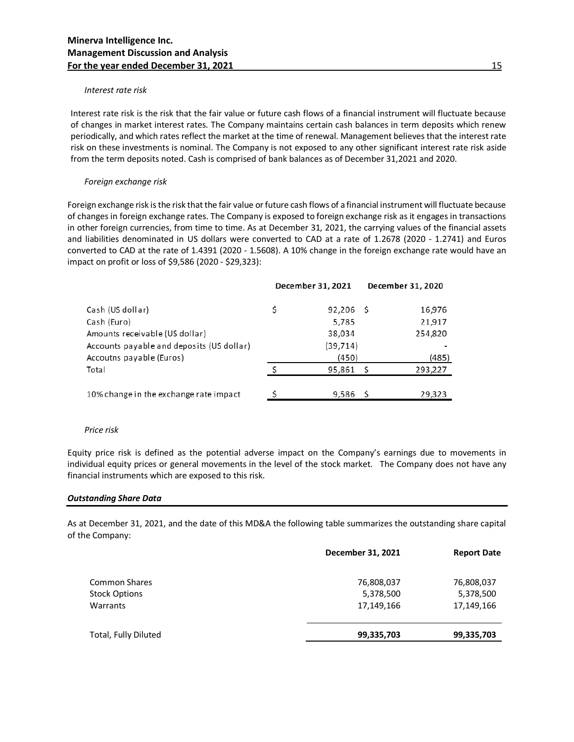#### *Interest rate risk*

Interest rate risk is the risk that the fair value or future cash flows of a financial instrument will fluctuate because of changes in market interest rates. The Company maintains certain cash balances in term deposits which renew periodically, and which rates reflect the market at the time of renewal. Management believes that the interest rate risk on these investments is nominal. The Company is not exposed to any other significant interest rate risk aside from the term deposits noted. Cash is comprised of bank balances as of December 31,2021 and 2020.

#### *Foreign exchange risk*

Foreign exchange risk is the risk that the fair value or future cash flows of a financial instrument will fluctuate because of changes in foreign exchange rates. The Company is exposed to foreign exchange risk as it engages in transactions in other foreign currencies, from time to time. As at December 31, 2021, the carrying values of the financial assets and liabilities denominated in US dollars were converted to CAD at a rate of 1.2678 (2020 - 1.2741) and Euros converted to CAD at the rate of 1.4391 (2020 - 1.5608). A 10% change in the foreign exchange rate would have an impact on profit or loss of \$9,586 (2020 - \$29,323):

|                                           | December 31, 2021 | December 31, 2020 |
|-------------------------------------------|-------------------|-------------------|
| Cash (US dollar)                          | \$<br>$92,206$ \$ | 16,976            |
| Cash (Euro)                               | 5,785             | 21,917            |
| Amounts receivable (US dollar)            | 38,034            | 254,820           |
| Accounts payable and deposits (US dollar) | (39, 714)         |                   |
| Accoutns payable (Euros)                  | (450)             | (485)             |
| Total                                     | 95,861 \$         | 293,227           |
|                                           |                   |                   |
| 10% change in the exchange rate impact    | 9,586             | 29,323            |
|                                           |                   |                   |

#### *Price risk*

Equity price risk is defined as the potential adverse impact on the Company's earnings due to movements in individual equity prices or general movements in the level of the stock market. The Company does not have any financial instruments which are exposed to this risk.

#### *Outstanding Share Data*

As at December 31, 2021, and the date of this MD&A the following table summarizes the outstanding share capital of the Company:

|                      | December 31, 2021 | <b>Report Date</b> |
|----------------------|-------------------|--------------------|
| Common Shares        | 76,808,037        | 76,808,037         |
| <b>Stock Options</b> | 5,378,500         | 5,378,500          |
| Warrants             | 17,149,166        | 17,149,166         |
| Total, Fully Diluted | 99,335,703        | 99,335,703         |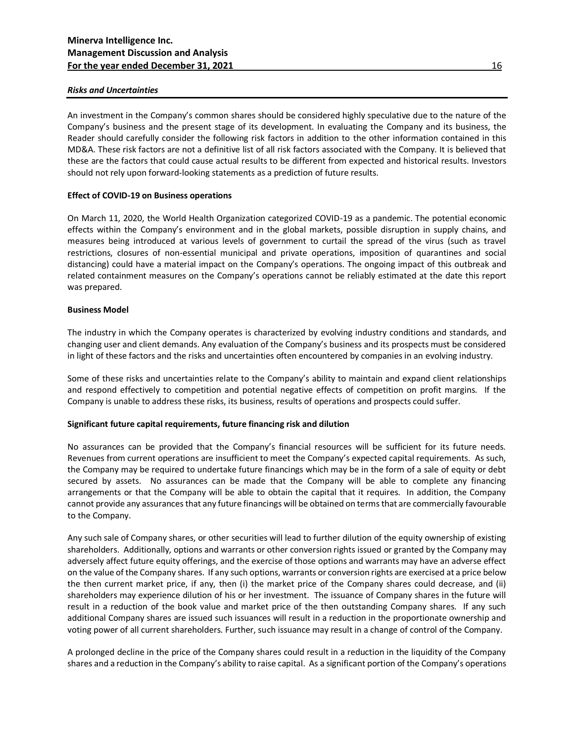#### *Risks and Uncertainties*

An investment in the Company's common shares should be considered highly speculative due to the nature of the Company's business and the present stage of its development. In evaluating the Company and its business, the Reader should carefully consider the following risk factors in addition to the other information contained in this MD&A. These risk factors are not a definitive list of all risk factors associated with the Company. It is believed that these are the factors that could cause actual results to be different from expected and historical results. Investors should not rely upon forward-looking statements as a prediction of future results.

#### **Effect of COVID-19 on Business operations**

On March 11, 2020, the World Health Organization categorized COVID-19 as a pandemic. The potential economic effects within the Company's environment and in the global markets, possible disruption in supply chains, and measures being introduced at various levels of government to curtail the spread of the virus (such as travel restrictions, closures of non-essential municipal and private operations, imposition of quarantines and social distancing) could have a material impact on the Company's operations. The ongoing impact of this outbreak and related containment measures on the Company's operations cannot be reliably estimated at the date this report was prepared.

# **Business Model**

The industry in which the Company operates is characterized by evolving industry conditions and standards, and changing user and client demands. Any evaluation of the Company's business and its prospects must be considered in light of these factors and the risks and uncertainties often encountered by companies in an evolving industry.

Some of these risks and uncertainties relate to the Company's ability to maintain and expand client relationships and respond effectively to competition and potential negative effects of competition on profit margins. If the Company is unable to address these risks, its business, results of operations and prospects could suffer.

#### **Significant future capital requirements, future financing risk and dilution**

No assurances can be provided that the Company's financial resources will be sufficient for its future needs. Revenues from current operations are insufficient to meet the Company's expected capital requirements. As such, the Company may be required to undertake future financings which may be in the form of a sale of equity or debt secured by assets. No assurances can be made that the Company will be able to complete any financing arrangements or that the Company will be able to obtain the capital that it requires. In addition, the Company cannot provide any assurances that any future financings will be obtained on terms that are commercially favourable to the Company.

Any such sale of Company shares, or other securities will lead to further dilution of the equity ownership of existing shareholders. Additionally, options and warrants or other conversion rights issued or granted by the Company may adversely affect future equity offerings, and the exercise of those options and warrants may have an adverse effect on the value of the Company shares. If any such options, warrants or conversion rights are exercised at a price below the then current market price, if any, then (i) the market price of the Company shares could decrease, and (ii) shareholders may experience dilution of his or her investment. The issuance of Company shares in the future will result in a reduction of the book value and market price of the then outstanding Company shares. If any such additional Company shares are issued such issuances will result in a reduction in the proportionate ownership and voting power of all current shareholders. Further, such issuance may result in a change of control of the Company.

A prolonged decline in the price of the Company shares could result in a reduction in the liquidity of the Company shares and a reduction in the Company's ability to raise capital. As a significant portion of the Company's operations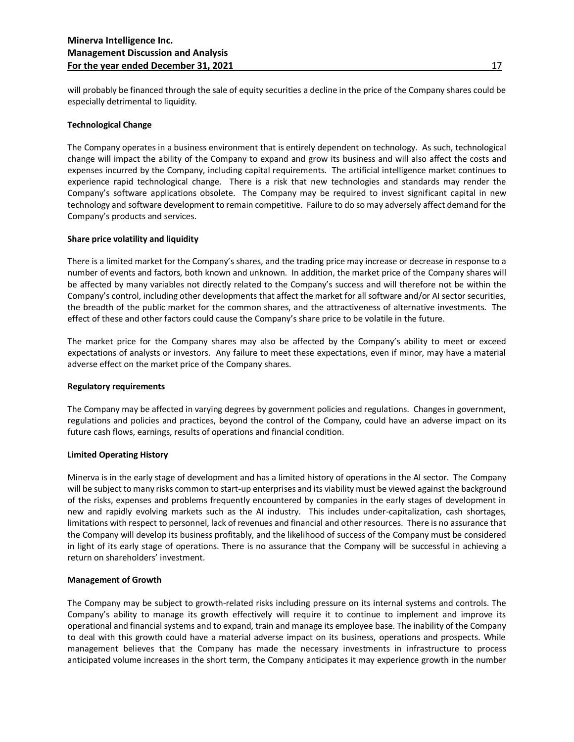will probably be financed through the sale of equity securities a decline in the price of the Company shares could be especially detrimental to liquidity.

#### **Technological Change**

The Company operates in a business environment that is entirely dependent on technology. As such, technological change will impact the ability of the Company to expand and grow its business and will also affect the costs and expenses incurred by the Company, including capital requirements. The artificial intelligence market continues to experience rapid technological change. There is a risk that new technologies and standards may render the Company's software applications obsolete. The Company may be required to invest significant capital in new technology and software development to remain competitive. Failure to do so may adversely affect demand for the Company's products and services.

#### **Share price volatility and liquidity**

There is a limited market for the Company's shares, and the trading price may increase or decrease in response to a number of events and factors, both known and unknown. In addition, the market price of the Company shares will be affected by many variables not directly related to the Company's success and will therefore not be within the Company's control, including other developments that affect the market for all software and/or AI sector securities, the breadth of the public market for the common shares, and the attractiveness of alternative investments. The effect of these and other factors could cause the Company's share price to be volatile in the future.

The market price for the Company shares may also be affected by the Company's ability to meet or exceed expectations of analysts or investors. Any failure to meet these expectations, even if minor, may have a material adverse effect on the market price of the Company shares.

# **Regulatory requirements**

The Company may be affected in varying degrees by government policies and regulations. Changes in government, regulations and policies and practices, beyond the control of the Company, could have an adverse impact on its future cash flows, earnings, results of operations and financial condition.

#### **Limited Operating History**

Minerva is in the early stage of development and has a limited history of operations in the AI sector. The Company will be subject to many risks common to start-up enterprises and its viability must be viewed against the background of the risks, expenses and problems frequently encountered by companies in the early stages of development in new and rapidly evolving markets such as the AI industry. This includes under-capitalization, cash shortages, limitations with respect to personnel, lack of revenues and financial and other resources. There is no assurance that the Company will develop its business profitably, and the likelihood of success of the Company must be considered in light of its early stage of operations. There is no assurance that the Company will be successful in achieving a return on shareholders' investment.

#### **Management of Growth**

The Company may be subject to growth-related risks including pressure on its internal systems and controls. The Company's ability to manage its growth effectively will require it to continue to implement and improve its operational and financial systems and to expand, train and manage its employee base. The inability of the Company to deal with this growth could have a material adverse impact on its business, operations and prospects. While management believes that the Company has made the necessary investments in infrastructure to process anticipated volume increases in the short term, the Company anticipates it may experience growth in the number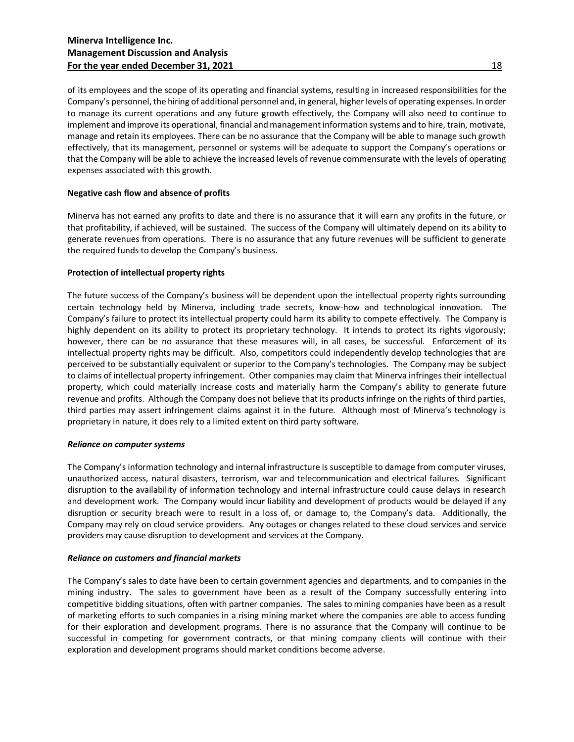of its employees and the scope of its operating and financial systems, resulting in increased responsibilities for the Company's personnel, the hiring of additional personnel and, in general, higher levels of operating expenses. In order to manage its current operations and any future growth effectively, the Company will also need to continue to implement and improve its operational, financial and management information systems and to hire, train, motivate, manage and retain its employees. There can be no assurance that the Company will be able to manage such growth effectively, that its management, personnel or systems will be adequate to support the Company's operations or that the Company will be able to achieve the increased levels of revenue commensurate with the levels of operating expenses associated with this growth.

# **Negative cash flow and absence of profits**

Minerva has not earned any profits to date and there is no assurance that it will earn any profits in the future, or that profitability, if achieved, will be sustained. The success of the Company will ultimately depend on its ability to generate revenues from operations. There is no assurance that any future revenues will be sufficient to generate the required funds to develop the Company's business.

# **Protection of intellectual property rights**

The future success of the Company's business will be dependent upon the intellectual property rights surrounding certain technology held by Minerva, including trade secrets, know-how and technological innovation. The Company's failure to protect its intellectual property could harm its ability to compete effectively. The Company is highly dependent on its ability to protect its proprietary technology. It intends to protect its rights vigorously; however, there can be no assurance that these measures will, in all cases, be successful. Enforcement of its intellectual property rights may be difficult. Also, competitors could independently develop technologies that are perceived to be substantially equivalent or superior to the Company's technologies. The Company may be subject to claims of intellectual property infringement. Other companies may claim that Minerva infringes their intellectual property, which could materially increase costs and materially harm the Company's ability to generate future revenue and profits. Although the Company does not believe that its products infringe on the rights of third parties, third parties may assert infringement claims against it in the future. Although most of Minerva's technology is proprietary in nature, it does rely to a limited extent on third party software.

#### *Reliance on computer systems*

The Company's information technology and internal infrastructure is susceptible to damage from computer viruses, unauthorized access, natural disasters, terrorism, war and telecommunication and electrical failures. Significant disruption to the availability of information technology and internal infrastructure could cause delays in research and development work. The Company would incur liability and development of products would be delayed if any disruption or security breach were to result in a loss of, or damage to, the Company's data. Additionally, the Company may rely on cloud service providers. Any outages or changes related to these cloud services and service providers may cause disruption to development and services at the Company.

#### *Reliance on customers and financial markets*

The Company's sales to date have been to certain government agencies and departments, and to companies in the mining industry. The sales to government have been as a result of the Company successfully entering into competitive bidding situations, often with partner companies. The sales to mining companies have been as a result of marketing efforts to such companies in a rising mining market where the companies are able to access funding for their exploration and development programs. There is no assurance that the Company will continue to be successful in competing for government contracts, or that mining company clients will continue with their exploration and development programs should market conditions become adverse.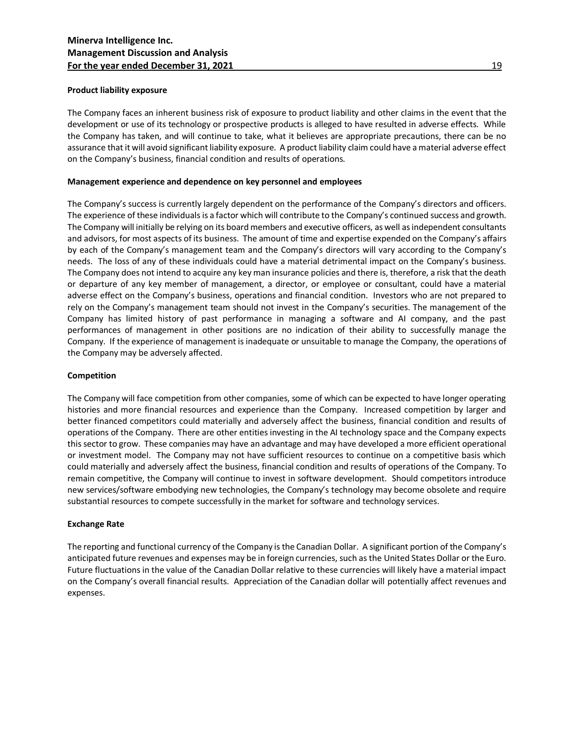#### **Product liability exposure**

The Company faces an inherent business risk of exposure to product liability and other claims in the event that the development or use of its technology or prospective products is alleged to have resulted in adverse effects. While the Company has taken, and will continue to take, what it believes are appropriate precautions, there can be no assurance that it will avoid significant liability exposure. A product liability claim could have a material adverse effect on the Company's business, financial condition and results of operations.

#### **Management experience and dependence on key personnel and employees**

The Company's success is currently largely dependent on the performance of the Company's directors and officers. The experience of these individuals is a factor which will contribute to the Company's continued success and growth. The Company will initially be relying on its board members and executive officers, as well as independent consultants and advisors, for most aspects of its business. The amount of time and expertise expended on the Company's affairs by each of the Company's management team and the Company's directors will vary according to the Company's needs. The loss of any of these individuals could have a material detrimental impact on the Company's business. The Company does not intend to acquire any key man insurance policies and there is, therefore, a risk that the death or departure of any key member of management, a director, or employee or consultant, could have a material adverse effect on the Company's business, operations and financial condition. Investors who are not prepared to rely on the Company's management team should not invest in the Company's securities. The management of the Company has limited history of past performance in managing a software and AI company, and the past performances of management in other positions are no indication of their ability to successfully manage the Company. If the experience of management is inadequate or unsuitable to manage the Company, the operations of the Company may be adversely affected.

#### **Competition**

The Company will face competition from other companies, some of which can be expected to have longer operating histories and more financial resources and experience than the Company. Increased competition by larger and better financed competitors could materially and adversely affect the business, financial condition and results of operations of the Company. There are other entities investing in the AI technology space and the Company expects this sector to grow. These companies may have an advantage and may have developed a more efficient operational or investment model. The Company may not have sufficient resources to continue on a competitive basis which could materially and adversely affect the business, financial condition and results of operations of the Company. To remain competitive, the Company will continue to invest in software development. Should competitors introduce new services/software embodying new technologies, the Company's technology may become obsolete and require substantial resources to compete successfully in the market for software and technology services.

#### **Exchange Rate**

The reporting and functional currency of the Company isthe Canadian Dollar. A significant portion of the Company's anticipated future revenues and expenses may be in foreign currencies, such as the United States Dollar or the Euro. Future fluctuations in the value of the Canadian Dollar relative to these currencies will likely have a material impact on the Company's overall financial results. Appreciation of the Canadian dollar will potentially affect revenues and expenses.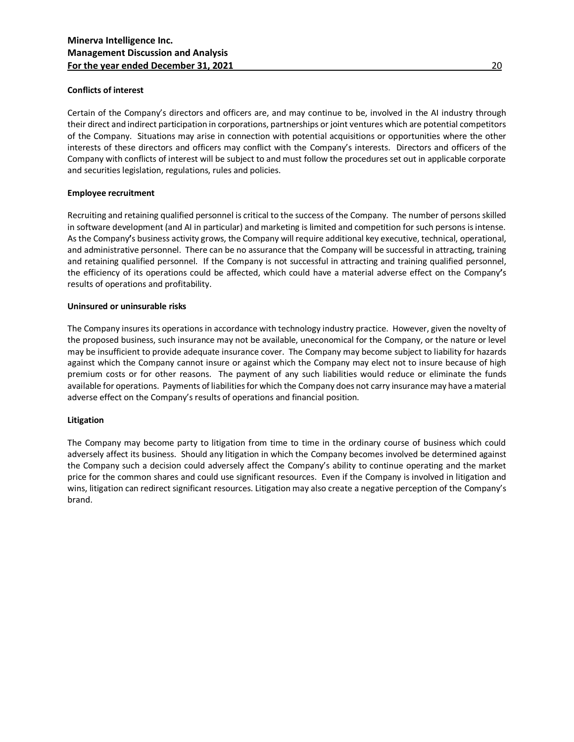# **Conflicts of interest**

Certain of the Company's directors and officers are, and may continue to be, involved in the AI industry through their direct and indirect participation in corporations, partnerships or joint ventures which are potential competitors of the Company. Situations may arise in connection with potential acquisitions or opportunities where the other interests of these directors and officers may conflict with the Company's interests. Directors and officers of the Company with conflicts of interest will be subject to and must follow the procedures set out in applicable corporate and securities legislation, regulations, rules and policies.

# **Employee recruitment**

Recruiting and retaining qualified personnel is critical to the success of the Company. The number of persons skilled in software development (and AI in particular) and marketing is limited and competition for such persons is intense. As the Company**'**s business activity grows, the Company will require additional key executive, technical, operational, and administrative personnel. There can be no assurance that the Company will be successful in attracting, training and retaining qualified personnel. If the Company is not successful in attracting and training qualified personnel, the efficiency of its operations could be affected, which could have a material adverse effect on the Company**'**s results of operations and profitability.

#### **Uninsured or uninsurable risks**

The Company insures its operations in accordance with technology industry practice. However, given the novelty of the proposed business, such insurance may not be available, uneconomical for the Company, or the nature or level may be insufficient to provide adequate insurance cover. The Company may become subject to liability for hazards against which the Company cannot insure or against which the Company may elect not to insure because of high premium costs or for other reasons. The payment of any such liabilities would reduce or eliminate the funds available for operations. Payments of liabilities for which the Company does not carry insurance may have a material adverse effect on the Company's results of operations and financial position.

#### **Litigation**

The Company may become party to litigation from time to time in the ordinary course of business which could adversely affect its business. Should any litigation in which the Company becomes involved be determined against the Company such a decision could adversely affect the Company's ability to continue operating and the market price for the common shares and could use significant resources. Even if the Company is involved in litigation and wins, litigation can redirect significant resources. Litigation may also create a negative perception of the Company's brand.